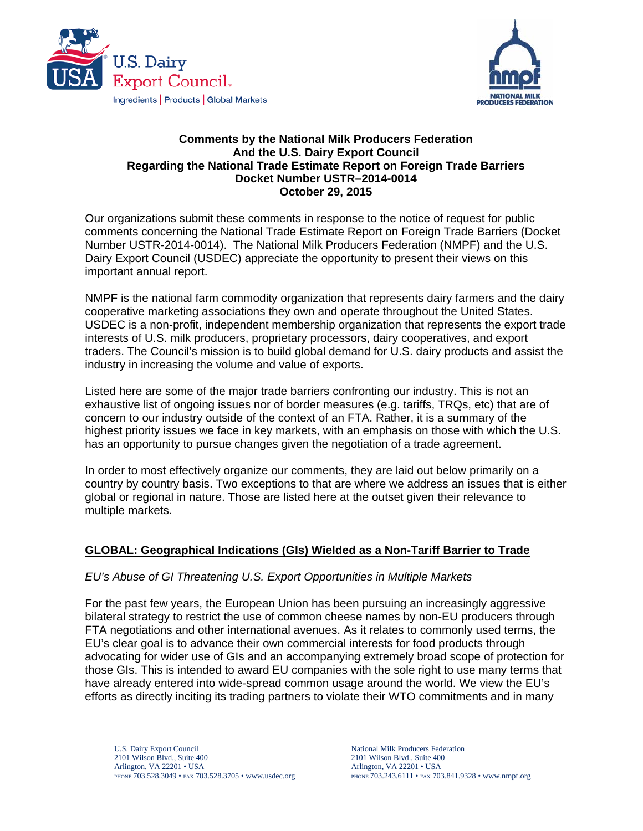



### **Comments by the National Milk Producers Federation And the U.S. Dairy Export Council Regarding the National Trade Estimate Report on Foreign Trade Barriers Docket Number USTR–2014-0014 October 29, 2015**

Our organizations submit these comments in response to the notice of request for public comments concerning the National Trade Estimate Report on Foreign Trade Barriers (Docket Number USTR-2014-0014). The National Milk Producers Federation (NMPF) and the U.S. Dairy Export Council (USDEC) appreciate the opportunity to present their views on this important annual report.

NMPF is the national farm commodity organization that represents dairy farmers and the dairy cooperative marketing associations they own and operate throughout the United States. USDEC is a non-profit, independent membership organization that represents the export trade interests of U.S. milk producers, proprietary processors, dairy cooperatives, and export traders. The Council's mission is to build global demand for U.S. dairy products and assist the industry in increasing the volume and value of exports.

Listed here are some of the major trade barriers confronting our industry. This is not an exhaustive list of ongoing issues nor of border measures (e.g. tariffs, TRQs, etc) that are of concern to our industry outside of the context of an FTA. Rather, it is a summary of the highest priority issues we face in key markets, with an emphasis on those with which the U.S. has an opportunity to pursue changes given the negotiation of a trade agreement.

In order to most effectively organize our comments, they are laid out below primarily on a country by country basis. Two exceptions to that are where we address an issues that is either global or regional in nature. Those are listed here at the outset given their relevance to multiple markets.

## **GLOBAL: Geographical Indications (GIs) Wielded as a Non-Tariff Barrier to Trade**

### *EU's Abuse of GI Threatening U.S. Export Opportunities in Multiple Markets*

For the past few years, the European Union has been pursuing an increasingly aggressive bilateral strategy to restrict the use of common cheese names by non-EU producers through FTA negotiations and other international avenues. As it relates to commonly used terms, the EU's clear goal is to advance their own commercial interests for food products through advocating for wider use of GIs and an accompanying extremely broad scope of protection for those GIs. This is intended to award EU companies with the sole right to use many terms that have already entered into wide-spread common usage around the world. We view the EU's efforts as directly inciting its trading partners to violate their WTO commitments and in many

U.S. Dairy Export Council 2101 Wilson Blvd., Suite 400 Arlington, VA 22201 • USA PHONE 703.528.3049 • FAX 703.528.3705 • www.usdec.org National Milk Producers Federation 2101 Wilson Blvd., Suite 400 Arlington, VA 22201 • USA PHONE 703.243.6111 • FAX 703.841.9328 • www.nmpf.org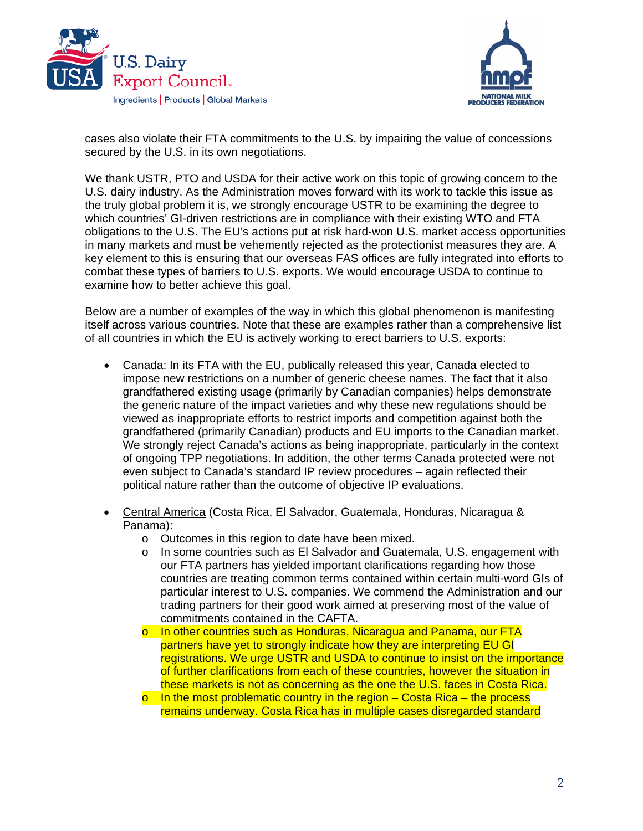



cases also violate their FTA commitments to the U.S. by impairing the value of concessions secured by the U.S. in its own negotiations.

We thank USTR, PTO and USDA for their active work on this topic of growing concern to the U.S. dairy industry. As the Administration moves forward with its work to tackle this issue as the truly global problem it is, we strongly encourage USTR to be examining the degree to which countries' GI-driven restrictions are in compliance with their existing WTO and FTA obligations to the U.S. The EU's actions put at risk hard-won U.S. market access opportunities in many markets and must be vehemently rejected as the protectionist measures they are. A key element to this is ensuring that our overseas FAS offices are fully integrated into efforts to combat these types of barriers to U.S. exports. We would encourage USDA to continue to examine how to better achieve this goal.

Below are a number of examples of the way in which this global phenomenon is manifesting itself across various countries. Note that these are examples rather than a comprehensive list of all countries in which the EU is actively working to erect barriers to U.S. exports:

- Canada: In its FTA with the EU, publically released this year, Canada elected to impose new restrictions on a number of generic cheese names. The fact that it also grandfathered existing usage (primarily by Canadian companies) helps demonstrate the generic nature of the impact varieties and why these new regulations should be viewed as inappropriate efforts to restrict imports and competition against both the grandfathered (primarily Canadian) products and EU imports to the Canadian market. We strongly reject Canada's actions as being inappropriate, particularly in the context of ongoing TPP negotiations. In addition, the other terms Canada protected were not even subject to Canada's standard IP review procedures – again reflected their political nature rather than the outcome of objective IP evaluations.
- Central America (Costa Rica, El Salvador, Guatemala, Honduras, Nicaragua & Panama):
	- o Outcomes in this region to date have been mixed.
	- o In some countries such as El Salvador and Guatemala, U.S. engagement with our FTA partners has yielded important clarifications regarding how those countries are treating common terms contained within certain multi-word GIs of particular interest to U.S. companies. We commend the Administration and our trading partners for their good work aimed at preserving most of the value of commitments contained in the CAFTA.
	- o In other countries such as Honduras, Nicaragua and Panama, our FTA partners have yet to strongly indicate how they are interpreting EU GI registrations. We urge USTR and USDA to continue to insist on the importance of further clarifications from each of these countries, however the situation in these markets is not as concerning as the one the U.S. faces in Costa Rica.
	- $\circ$  In the most problematic country in the region Costa Rica the process remains underway. Costa Rica has in multiple cases disregarded standard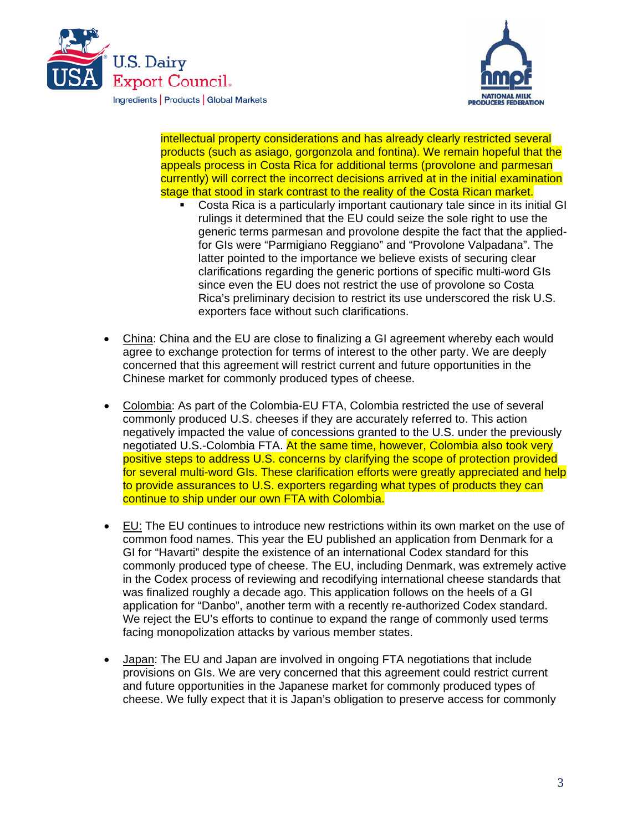



intellectual property considerations and has already clearly restricted several products (such as asiago, gorgonzola and fontina). We remain hopeful that the appeals process in Costa Rica for additional terms (provolone and parmesan currently) will correct the incorrect decisions arrived at in the initial examination stage that stood in stark contrast to the reality of the Costa Rican market.

- Costa Rica is a particularly important cautionary tale since in its initial GI rulings it determined that the EU could seize the sole right to use the generic terms parmesan and provolone despite the fact that the appliedfor GIs were "Parmigiano Reggiano" and "Provolone Valpadana". The latter pointed to the importance we believe exists of securing clear clarifications regarding the generic portions of specific multi-word GIs since even the EU does not restrict the use of provolone so Costa Rica's preliminary decision to restrict its use underscored the risk U.S. exporters face without such clarifications.
- China: China and the EU are close to finalizing a GI agreement whereby each would agree to exchange protection for terms of interest to the other party. We are deeply concerned that this agreement will restrict current and future opportunities in the Chinese market for commonly produced types of cheese.
- Colombia: As part of the Colombia-EU FTA, Colombia restricted the use of several commonly produced U.S. cheeses if they are accurately referred to. This action negatively impacted the value of concessions granted to the U.S. under the previously negotiated U.S.-Colombia FTA. At the same time, however, Colombia also took very positive steps to address U.S. concerns by clarifying the scope of protection provided for several multi-word GIs. These clarification efforts were greatly appreciated and help to provide assurances to U.S. exporters regarding what types of products they can continue to ship under our own FTA with Colombia.
- EU: The EU continues to introduce new restrictions within its own market on the use of common food names. This year the EU published an application from Denmark for a GI for "Havarti" despite the existence of an international Codex standard for this commonly produced type of cheese. The EU, including Denmark, was extremely active in the Codex process of reviewing and recodifying international cheese standards that was finalized roughly a decade ago. This application follows on the heels of a GI application for "Danbo", another term with a recently re-authorized Codex standard. We reject the EU's efforts to continue to expand the range of commonly used terms facing monopolization attacks by various member states.
- Japan: The EU and Japan are involved in ongoing FTA negotiations that include provisions on GIs. We are very concerned that this agreement could restrict current and future opportunities in the Japanese market for commonly produced types of cheese. We fully expect that it is Japan's obligation to preserve access for commonly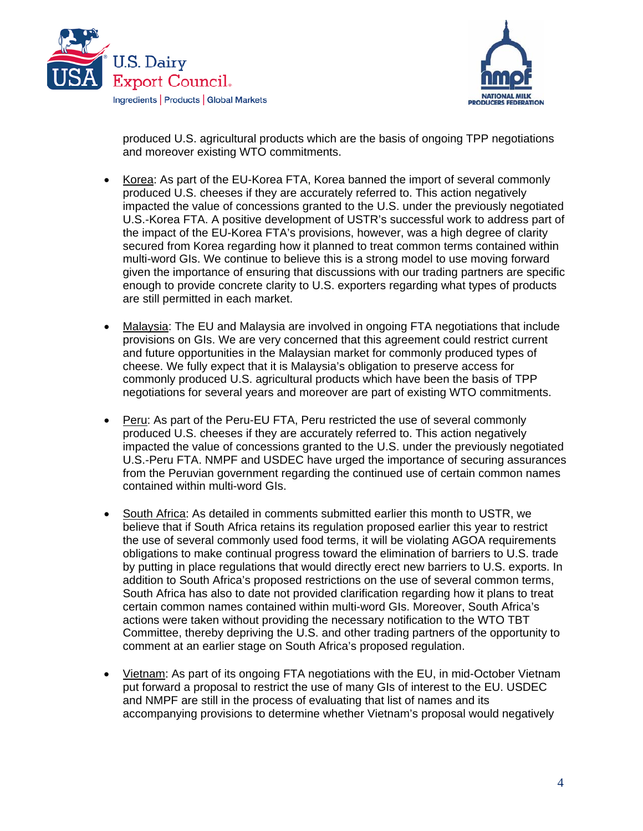



produced U.S. agricultural products which are the basis of ongoing TPP negotiations and moreover existing WTO commitments.

- Korea: As part of the EU-Korea FTA, Korea banned the import of several commonly produced U.S. cheeses if they are accurately referred to. This action negatively impacted the value of concessions granted to the U.S. under the previously negotiated U.S.-Korea FTA. A positive development of USTR's successful work to address part of the impact of the EU-Korea FTA's provisions, however, was a high degree of clarity secured from Korea regarding how it planned to treat common terms contained within multi-word GIs. We continue to believe this is a strong model to use moving forward given the importance of ensuring that discussions with our trading partners are specific enough to provide concrete clarity to U.S. exporters regarding what types of products are still permitted in each market.
- Malaysia: The EU and Malaysia are involved in ongoing FTA negotiations that include provisions on GIs. We are very concerned that this agreement could restrict current and future opportunities in the Malaysian market for commonly produced types of cheese. We fully expect that it is Malaysia's obligation to preserve access for commonly produced U.S. agricultural products which have been the basis of TPP negotiations for several years and moreover are part of existing WTO commitments.
- Peru: As part of the Peru-EU FTA, Peru restricted the use of several commonly produced U.S. cheeses if they are accurately referred to. This action negatively impacted the value of concessions granted to the U.S. under the previously negotiated U.S.-Peru FTA. NMPF and USDEC have urged the importance of securing assurances from the Peruvian government regarding the continued use of certain common names contained within multi-word GIs.
- South Africa: As detailed in comments submitted earlier this month to USTR, we believe that if South Africa retains its regulation proposed earlier this year to restrict the use of several commonly used food terms, it will be violating AGOA requirements obligations to make continual progress toward the elimination of barriers to U.S. trade by putting in place regulations that would directly erect new barriers to U.S. exports. In addition to South Africa's proposed restrictions on the use of several common terms, South Africa has also to date not provided clarification regarding how it plans to treat certain common names contained within multi-word GIs. Moreover, South Africa's actions were taken without providing the necessary notification to the WTO TBT Committee, thereby depriving the U.S. and other trading partners of the opportunity to comment at an earlier stage on South Africa's proposed regulation.
- Vietnam: As part of its ongoing FTA negotiations with the EU, in mid-October Vietnam put forward a proposal to restrict the use of many GIs of interest to the EU. USDEC and NMPF are still in the process of evaluating that list of names and its accompanying provisions to determine whether Vietnam's proposal would negatively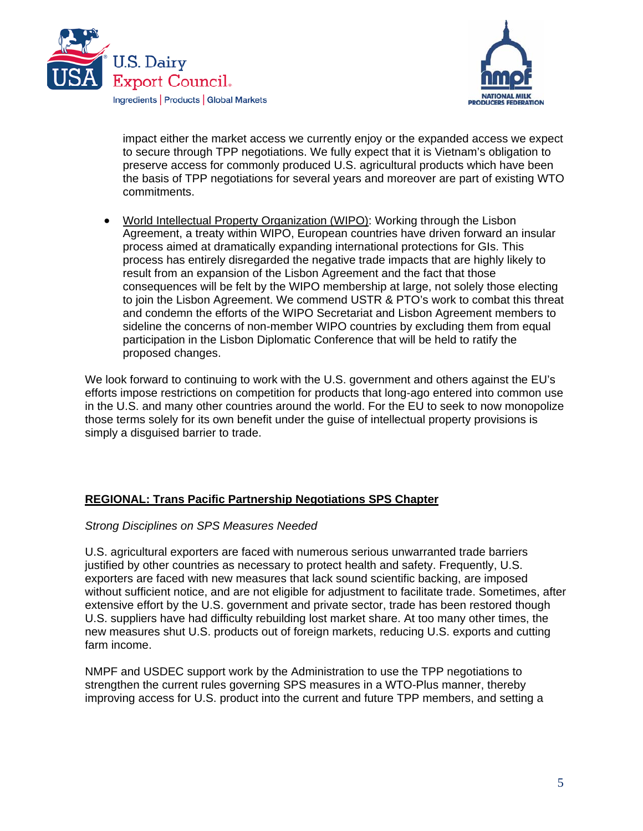



impact either the market access we currently enjoy or the expanded access we expect to secure through TPP negotiations. We fully expect that it is Vietnam's obligation to preserve access for commonly produced U.S. agricultural products which have been the basis of TPP negotiations for several years and moreover are part of existing WTO commitments.

 World Intellectual Property Organization (WIPO): Working through the Lisbon Agreement, a treaty within WIPO, European countries have driven forward an insular process aimed at dramatically expanding international protections for GIs. This process has entirely disregarded the negative trade impacts that are highly likely to result from an expansion of the Lisbon Agreement and the fact that those consequences will be felt by the WIPO membership at large, not solely those electing to join the Lisbon Agreement. We commend USTR & PTO's work to combat this threat and condemn the efforts of the WIPO Secretariat and Lisbon Agreement members to sideline the concerns of non-member WIPO countries by excluding them from equal participation in the Lisbon Diplomatic Conference that will be held to ratify the proposed changes.

We look forward to continuing to work with the U.S. government and others against the EU's efforts impose restrictions on competition for products that long-ago entered into common use in the U.S. and many other countries around the world. For the EU to seek to now monopolize those terms solely for its own benefit under the guise of intellectual property provisions is simply a disguised barrier to trade.

## **REGIONAL: Trans Pacific Partnership Negotiations SPS Chapter**

#### *Strong Disciplines on SPS Measures Needed*

U.S. agricultural exporters are faced with numerous serious unwarranted trade barriers justified by other countries as necessary to protect health and safety. Frequently, U.S. exporters are faced with new measures that lack sound scientific backing, are imposed without sufficient notice, and are not eligible for adjustment to facilitate trade. Sometimes, after extensive effort by the U.S. government and private sector, trade has been restored though U.S. suppliers have had difficulty rebuilding lost market share. At too many other times, the new measures shut U.S. products out of foreign markets, reducing U.S. exports and cutting farm income.

NMPF and USDEC support work by the Administration to use the TPP negotiations to strengthen the current rules governing SPS measures in a WTO-Plus manner, thereby improving access for U.S. product into the current and future TPP members, and setting a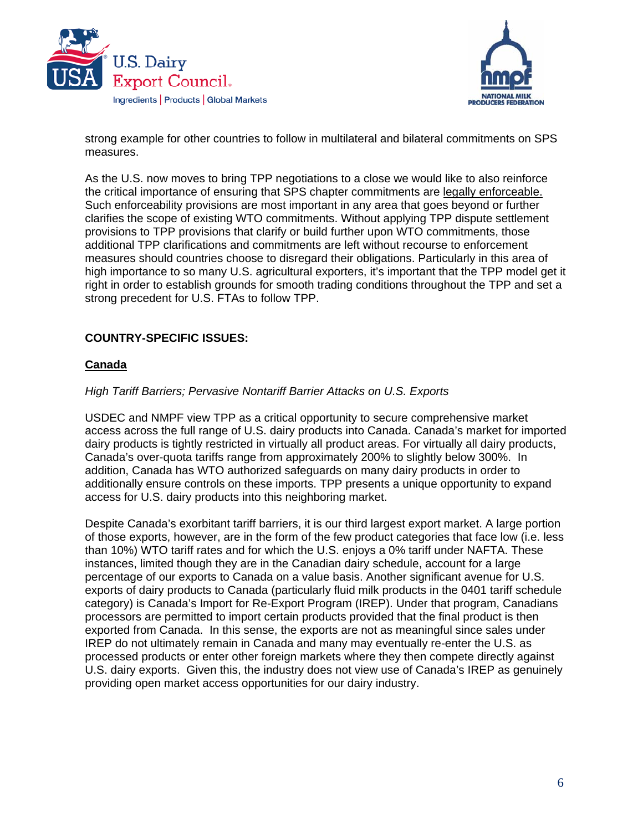



strong example for other countries to follow in multilateral and bilateral commitments on SPS measures.

As the U.S. now moves to bring TPP negotiations to a close we would like to also reinforce the critical importance of ensuring that SPS chapter commitments are legally enforceable. Such enforceability provisions are most important in any area that goes beyond or further clarifies the scope of existing WTO commitments. Without applying TPP dispute settlement provisions to TPP provisions that clarify or build further upon WTO commitments, those additional TPP clarifications and commitments are left without recourse to enforcement measures should countries choose to disregard their obligations. Particularly in this area of high importance to so many U.S. agricultural exporters, it's important that the TPP model get it right in order to establish grounds for smooth trading conditions throughout the TPP and set a strong precedent for U.S. FTAs to follow TPP.

### **COUNTRY-SPECIFIC ISSUES:**

#### **Canada**

#### *High Tariff Barriers; Pervasive Nontariff Barrier Attacks on U.S. Exports*

USDEC and NMPF view TPP as a critical opportunity to secure comprehensive market access across the full range of U.S. dairy products into Canada. Canada's market for imported dairy products is tightly restricted in virtually all product areas. For virtually all dairy products, Canada's over-quota tariffs range from approximately 200% to slightly below 300%. In addition, Canada has WTO authorized safeguards on many dairy products in order to additionally ensure controls on these imports. TPP presents a unique opportunity to expand access for U.S. dairy products into this neighboring market.

Despite Canada's exorbitant tariff barriers, it is our third largest export market. A large portion of those exports, however, are in the form of the few product categories that face low (i.e. less than 10%) WTO tariff rates and for which the U.S. enjoys a 0% tariff under NAFTA. These instances, limited though they are in the Canadian dairy schedule, account for a large percentage of our exports to Canada on a value basis. Another significant avenue for U.S. exports of dairy products to Canada (particularly fluid milk products in the 0401 tariff schedule category) is Canada's Import for Re-Export Program (IREP). Under that program, Canadians processors are permitted to import certain products provided that the final product is then exported from Canada. In this sense, the exports are not as meaningful since sales under IREP do not ultimately remain in Canada and many may eventually re-enter the U.S. as processed products or enter other foreign markets where they then compete directly against U.S. dairy exports. Given this, the industry does not view use of Canada's IREP as genuinely providing open market access opportunities for our dairy industry.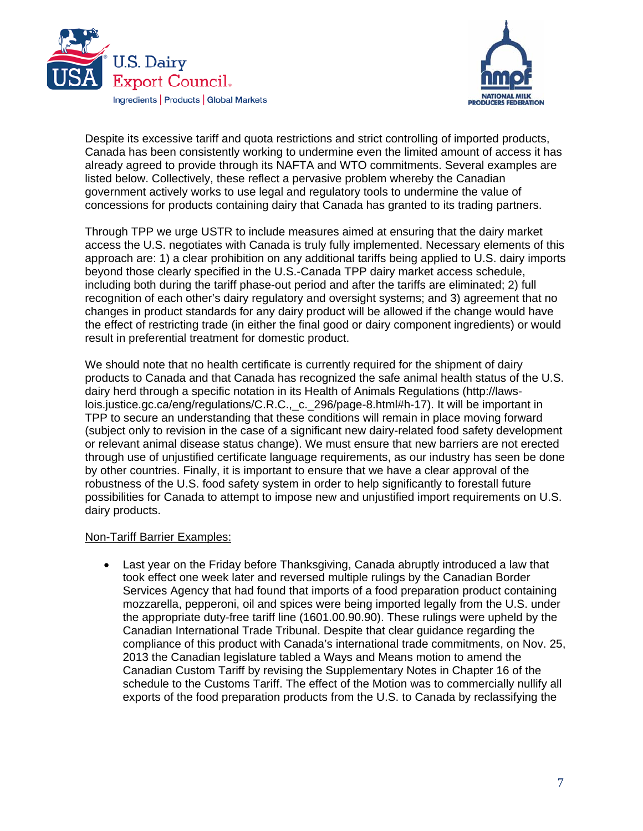



Despite its excessive tariff and quota restrictions and strict controlling of imported products, Canada has been consistently working to undermine even the limited amount of access it has already agreed to provide through its NAFTA and WTO commitments. Several examples are listed below. Collectively, these reflect a pervasive problem whereby the Canadian government actively works to use legal and regulatory tools to undermine the value of concessions for products containing dairy that Canada has granted to its trading partners.

Through TPP we urge USTR to include measures aimed at ensuring that the dairy market access the U.S. negotiates with Canada is truly fully implemented. Necessary elements of this approach are: 1) a clear prohibition on any additional tariffs being applied to U.S. dairy imports beyond those clearly specified in the U.S.-Canada TPP dairy market access schedule, including both during the tariff phase-out period and after the tariffs are eliminated; 2) full recognition of each other's dairy regulatory and oversight systems; and 3) agreement that no changes in product standards for any dairy product will be allowed if the change would have the effect of restricting trade (in either the final good or dairy component ingredients) or would result in preferential treatment for domestic product.

We should note that no health certificate is currently required for the shipment of dairy products to Canada and that Canada has recognized the safe animal health status of the U.S. dairy herd through a specific notation in its Health of Animals Regulations (http://lawslois.justice.gc.ca/eng/regulations/C.R.C., c. 296/page-8.html#h-17). It will be important in TPP to secure an understanding that these conditions will remain in place moving forward (subject only to revision in the case of a significant new dairy-related food safety development or relevant animal disease status change). We must ensure that new barriers are not erected through use of unjustified certificate language requirements, as our industry has seen be done by other countries. Finally, it is important to ensure that we have a clear approval of the robustness of the U.S. food safety system in order to help significantly to forestall future possibilities for Canada to attempt to impose new and unjustified import requirements on U.S. dairy products.

#### Non-Tariff Barrier Examples:

 Last year on the Friday before Thanksgiving, Canada abruptly introduced a law that took effect one week later and reversed multiple rulings by the Canadian Border Services Agency that had found that imports of a food preparation product containing mozzarella, pepperoni, oil and spices were being imported legally from the U.S. under the appropriate duty-free tariff line (1601.00.90.90). These rulings were upheld by the Canadian International Trade Tribunal. Despite that clear guidance regarding the compliance of this product with Canada's international trade commitments, on Nov. 25, 2013 the Canadian legislature tabled a Ways and Means motion to amend the Canadian Custom Tariff by revising the Supplementary Notes in Chapter 16 of the schedule to the Customs Tariff. The effect of the Motion was to commercially nullify all exports of the food preparation products from the U.S. to Canada by reclassifying the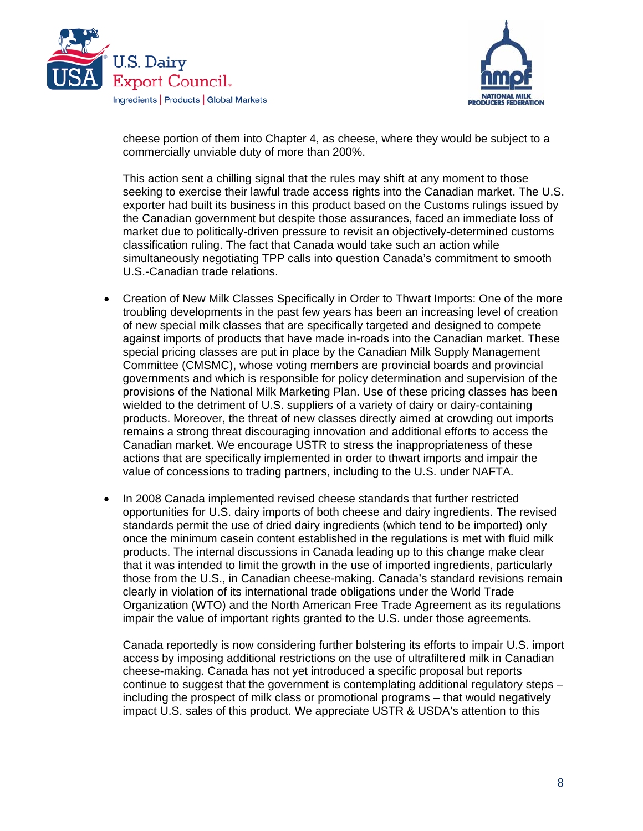



cheese portion of them into Chapter 4, as cheese, where they would be subject to a commercially unviable duty of more than 200%.

This action sent a chilling signal that the rules may shift at any moment to those seeking to exercise their lawful trade access rights into the Canadian market. The U.S. exporter had built its business in this product based on the Customs rulings issued by the Canadian government but despite those assurances, faced an immediate loss of market due to politically-driven pressure to revisit an objectively-determined customs classification ruling. The fact that Canada would take such an action while simultaneously negotiating TPP calls into question Canada's commitment to smooth U.S.-Canadian trade relations.

- Creation of New Milk Classes Specifically in Order to Thwart Imports: One of the more troubling developments in the past few years has been an increasing level of creation of new special milk classes that are specifically targeted and designed to compete against imports of products that have made in-roads into the Canadian market. These special pricing classes are put in place by the Canadian Milk Supply Management Committee (CMSMC), whose voting members are provincial boards and provincial governments and which is responsible for policy determination and supervision of the provisions of the National Milk Marketing Plan. Use of these pricing classes has been wielded to the detriment of U.S. suppliers of a variety of dairy or dairy-containing products. Moreover, the threat of new classes directly aimed at crowding out imports remains a strong threat discouraging innovation and additional efforts to access the Canadian market. We encourage USTR to stress the inappropriateness of these actions that are specifically implemented in order to thwart imports and impair the value of concessions to trading partners, including to the U.S. under NAFTA.
- In 2008 Canada implemented revised cheese standards that further restricted opportunities for U.S. dairy imports of both cheese and dairy ingredients. The revised standards permit the use of dried dairy ingredients (which tend to be imported) only once the minimum casein content established in the regulations is met with fluid milk products. The internal discussions in Canada leading up to this change make clear that it was intended to limit the growth in the use of imported ingredients, particularly those from the U.S., in Canadian cheese-making. Canada's standard revisions remain clearly in violation of its international trade obligations under the World Trade Organization (WTO) and the North American Free Trade Agreement as its regulations impair the value of important rights granted to the U.S. under those agreements.

Canada reportedly is now considering further bolstering its efforts to impair U.S. import access by imposing additional restrictions on the use of ultrafiltered milk in Canadian cheese-making. Canada has not yet introduced a specific proposal but reports continue to suggest that the government is contemplating additional regulatory steps – including the prospect of milk class or promotional programs – that would negatively impact U.S. sales of this product. We appreciate USTR & USDA's attention to this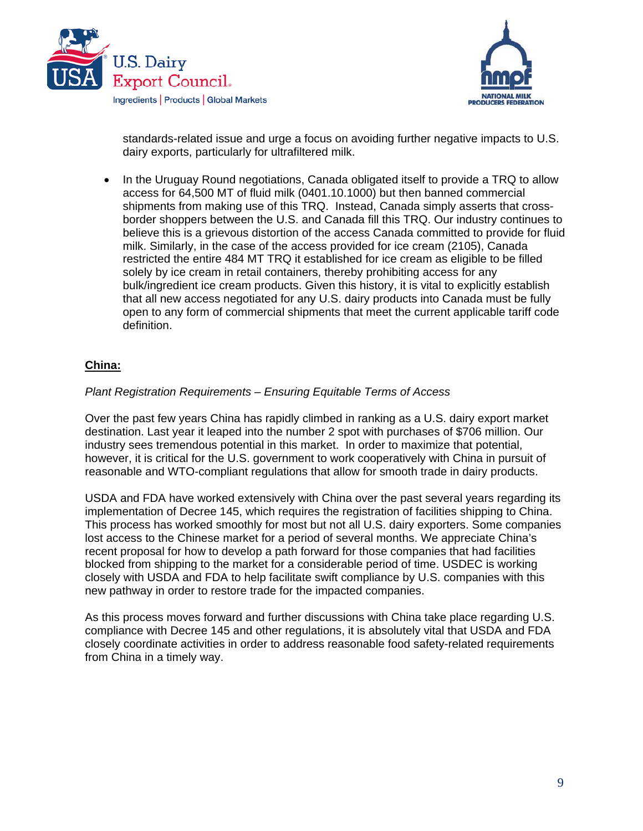



standards-related issue and urge a focus on avoiding further negative impacts to U.S. dairy exports, particularly for ultrafiltered milk.

 In the Uruguay Round negotiations, Canada obligated itself to provide a TRQ to allow access for 64,500 MT of fluid milk (0401.10.1000) but then banned commercial shipments from making use of this TRQ. Instead, Canada simply asserts that crossborder shoppers between the U.S. and Canada fill this TRQ. Our industry continues to believe this is a grievous distortion of the access Canada committed to provide for fluid milk. Similarly, in the case of the access provided for ice cream (2105), Canada restricted the entire 484 MT TRQ it established for ice cream as eligible to be filled solely by ice cream in retail containers, thereby prohibiting access for any bulk/ingredient ice cream products. Given this history, it is vital to explicitly establish that all new access negotiated for any U.S. dairy products into Canada must be fully open to any form of commercial shipments that meet the current applicable tariff code definition.

### **China:**

### *Plant Registration Requirements – Ensuring Equitable Terms of Access*

Over the past few years China has rapidly climbed in ranking as a U.S. dairy export market destination. Last year it leaped into the number 2 spot with purchases of \$706 million. Our industry sees tremendous potential in this market. In order to maximize that potential, however, it is critical for the U.S. government to work cooperatively with China in pursuit of reasonable and WTO-compliant regulations that allow for smooth trade in dairy products.

USDA and FDA have worked extensively with China over the past several years regarding its implementation of Decree 145, which requires the registration of facilities shipping to China. This process has worked smoothly for most but not all U.S. dairy exporters. Some companies lost access to the Chinese market for a period of several months. We appreciate China's recent proposal for how to develop a path forward for those companies that had facilities blocked from shipping to the market for a considerable period of time. USDEC is working closely with USDA and FDA to help facilitate swift compliance by U.S. companies with this new pathway in order to restore trade for the impacted companies.

As this process moves forward and further discussions with China take place regarding U.S. compliance with Decree 145 and other regulations, it is absolutely vital that USDA and FDA closely coordinate activities in order to address reasonable food safety-related requirements from China in a timely way.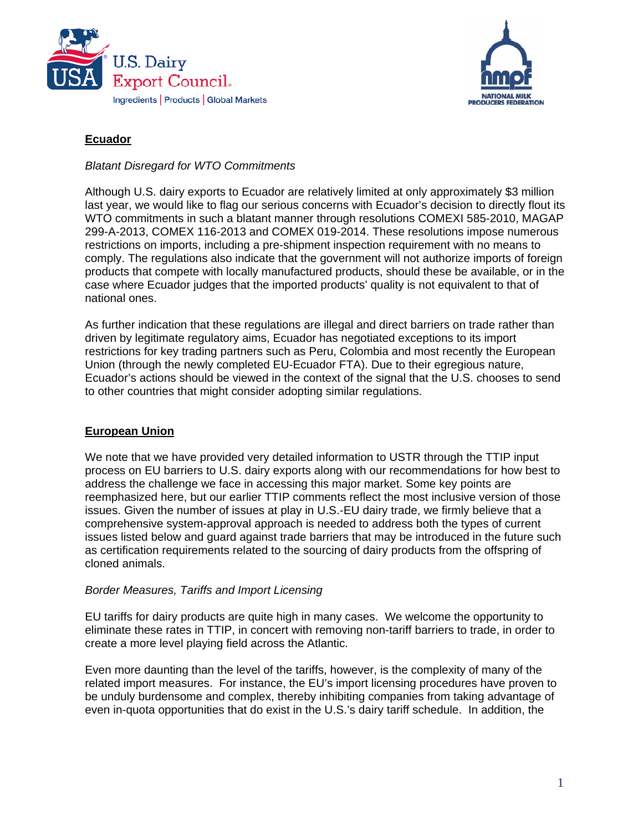



### **Ecuador**

*Blatant Disregard for WTO Commitments* 

Although U.S. dairy exports to Ecuador are relatively limited at only approximately \$3 million last year, we would like to flag our serious concerns with Ecuador's decision to directly flout its WTO commitments in such a blatant manner through resolutions COMEXI 585-2010, MAGAP 299-A-2013, COMEX 116-2013 and COMEX 019-2014. These resolutions impose numerous restrictions on imports, including a pre-shipment inspection requirement with no means to comply. The regulations also indicate that the government will not authorize imports of foreign products that compete with locally manufactured products, should these be available, or in the case where Ecuador judges that the imported products' quality is not equivalent to that of national ones.

As further indication that these regulations are illegal and direct barriers on trade rather than driven by legitimate regulatory aims, Ecuador has negotiated exceptions to its import restrictions for key trading partners such as Peru, Colombia and most recently the European Union (through the newly completed EU-Ecuador FTA). Due to their egregious nature, Ecuador's actions should be viewed in the context of the signal that the U.S. chooses to send to other countries that might consider adopting similar regulations.

## **European Union**

We note that we have provided very detailed information to USTR through the TTIP input process on EU barriers to U.S. dairy exports along with our recommendations for how best to address the challenge we face in accessing this major market. Some key points are reemphasized here, but our earlier TTIP comments reflect the most inclusive version of those issues. Given the number of issues at play in U.S.-EU dairy trade, we firmly believe that a comprehensive system-approval approach is needed to address both the types of current issues listed below and guard against trade barriers that may be introduced in the future such as certification requirements related to the sourcing of dairy products from the offspring of cloned animals.

### *Border Measures, Tariffs and Import Licensing*

EU tariffs for dairy products are quite high in many cases. We welcome the opportunity to eliminate these rates in TTIP, in concert with removing non-tariff barriers to trade, in order to create a more level playing field across the Atlantic.

Even more daunting than the level of the tariffs, however, is the complexity of many of the related import measures. For instance, the EU's import licensing procedures have proven to be unduly burdensome and complex, thereby inhibiting companies from taking advantage of even in-quota opportunities that do exist in the U.S.'s dairy tariff schedule. In addition, the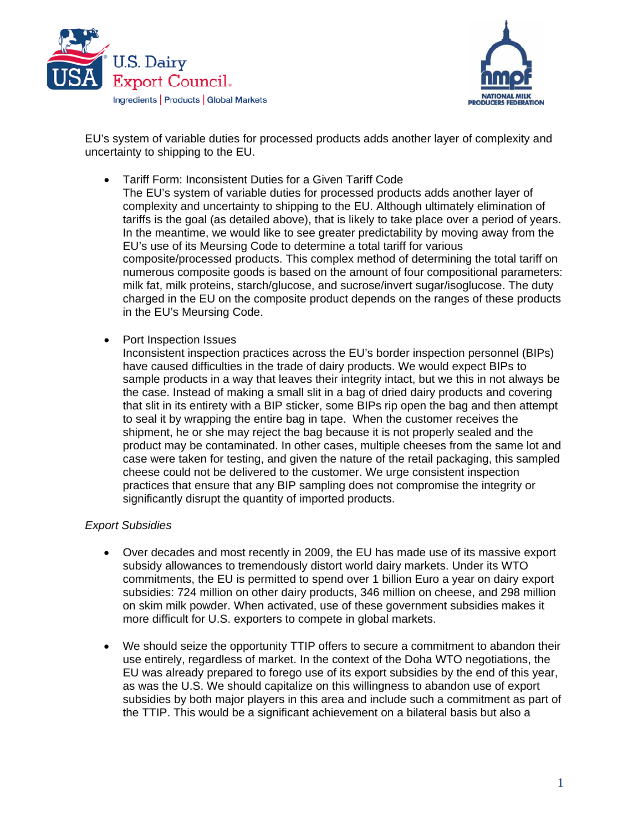



EU's system of variable duties for processed products adds another layer of complexity and uncertainty to shipping to the EU.

Tariff Form: Inconsistent Duties for a Given Tariff Code

The EU's system of variable duties for processed products adds another layer of complexity and uncertainty to shipping to the EU. Although ultimately elimination of tariffs is the goal (as detailed above), that is likely to take place over a period of years. In the meantime, we would like to see greater predictability by moving away from the EU's use of its Meursing Code to determine a total tariff for various composite/processed products. This complex method of determining the total tariff on numerous composite goods is based on the amount of four compositional parameters: milk fat, milk proteins, starch/glucose, and sucrose/invert sugar/isoglucose. The duty charged in the EU on the composite product depends on the ranges of these products in the EU's Meursing Code.

Port Inspection Issues

Inconsistent inspection practices across the EU's border inspection personnel (BIPs) have caused difficulties in the trade of dairy products. We would expect BIPs to sample products in a way that leaves their integrity intact, but we this in not always be the case. Instead of making a small slit in a bag of dried dairy products and covering that slit in its entirety with a BIP sticker, some BIPs rip open the bag and then attempt to seal it by wrapping the entire bag in tape. When the customer receives the shipment, he or she may reject the bag because it is not properly sealed and the product may be contaminated. In other cases, multiple cheeses from the same lot and case were taken for testing, and given the nature of the retail packaging, this sampled cheese could not be delivered to the customer. We urge consistent inspection practices that ensure that any BIP sampling does not compromise the integrity or significantly disrupt the quantity of imported products.

### *Export Subsidies*

- Over decades and most recently in 2009, the EU has made use of its massive export subsidy allowances to tremendously distort world dairy markets. Under its WTO commitments, the EU is permitted to spend over 1 billion Euro a year on dairy export subsidies: 724 million on other dairy products, 346 million on cheese, and 298 million on skim milk powder. When activated, use of these government subsidies makes it more difficult for U.S. exporters to compete in global markets.
- We should seize the opportunity TTIP offers to secure a commitment to abandon their use entirely, regardless of market. In the context of the Doha WTO negotiations, the EU was already prepared to forego use of its export subsidies by the end of this year, as was the U.S. We should capitalize on this willingness to abandon use of export subsidies by both major players in this area and include such a commitment as part of the TTIP. This would be a significant achievement on a bilateral basis but also a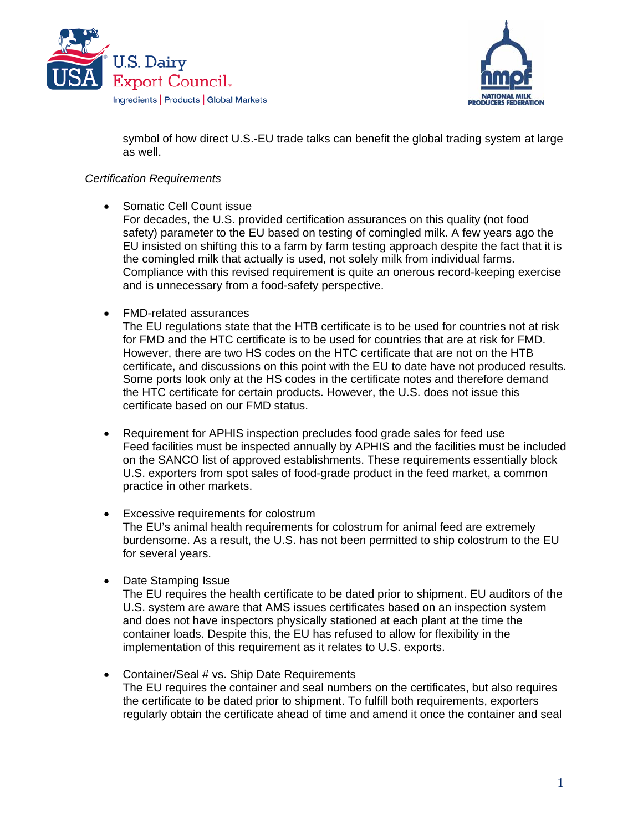



symbol of how direct U.S.-EU trade talks can benefit the global trading system at large as well.

### *Certification Requirements*

• Somatic Cell Count issue

For decades, the U.S. provided certification assurances on this quality (not food safety) parameter to the EU based on testing of comingled milk. A few years ago the EU insisted on shifting this to a farm by farm testing approach despite the fact that it is the comingled milk that actually is used, not solely milk from individual farms. Compliance with this revised requirement is quite an onerous record-keeping exercise and is unnecessary from a food-safety perspective.

FMD-related assurances

The EU regulations state that the HTB certificate is to be used for countries not at risk for FMD and the HTC certificate is to be used for countries that are at risk for FMD. However, there are two HS codes on the HTC certificate that are not on the HTB certificate, and discussions on this point with the EU to date have not produced results. Some ports look only at the HS codes in the certificate notes and therefore demand the HTC certificate for certain products. However, the U.S. does not issue this certificate based on our FMD status.

- Requirement for APHIS inspection precludes food grade sales for feed use Feed facilities must be inspected annually by APHIS and the facilities must be included on the SANCO list of approved establishments. These requirements essentially block U.S. exporters from spot sales of food-grade product in the feed market, a common practice in other markets.
- Excessive requirements for colostrum The EU's animal health requirements for colostrum for animal feed are extremely burdensome. As a result, the U.S. has not been permitted to ship colostrum to the EU for several years.
- Date Stamping Issue

The EU requires the health certificate to be dated prior to shipment. EU auditors of the U.S. system are aware that AMS issues certificates based on an inspection system and does not have inspectors physically stationed at each plant at the time the container loads. Despite this, the EU has refused to allow for flexibility in the implementation of this requirement as it relates to U.S. exports.

• Container/Seal # vs. Ship Date Requirements The EU requires the container and seal numbers on the certificates, but also requires the certificate to be dated prior to shipment. To fulfill both requirements, exporters regularly obtain the certificate ahead of time and amend it once the container and seal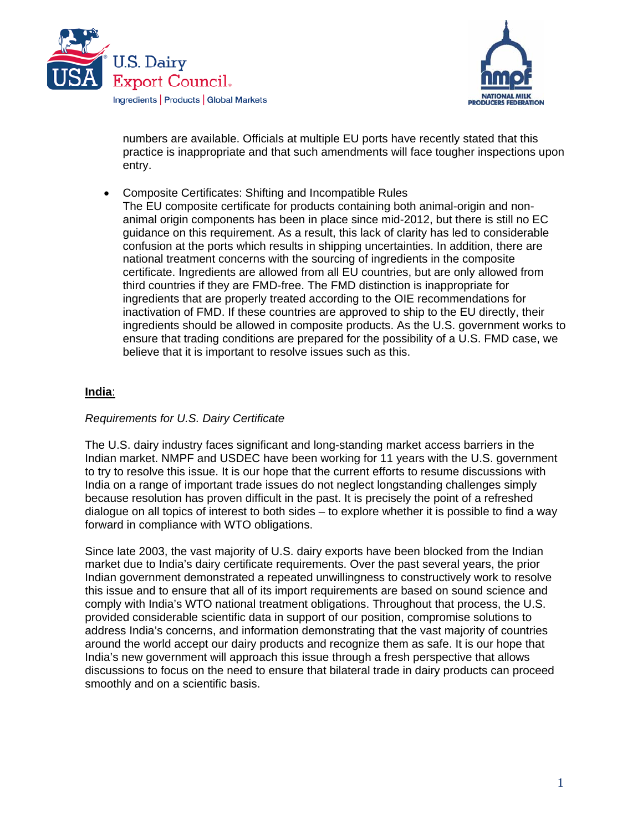



numbers are available. Officials at multiple EU ports have recently stated that this practice is inappropriate and that such amendments will face tougher inspections upon entry.

 Composite Certificates: Shifting and Incompatible Rules The EU composite certificate for products containing both animal-origin and nonanimal origin components has been in place since mid-2012, but there is still no EC guidance on this requirement. As a result, this lack of clarity has led to considerable confusion at the ports which results in shipping uncertainties. In addition, there are national treatment concerns with the sourcing of ingredients in the composite certificate. Ingredients are allowed from all EU countries, but are only allowed from third countries if they are FMD-free. The FMD distinction is inappropriate for ingredients that are properly treated according to the OIE recommendations for inactivation of FMD. If these countries are approved to ship to the EU directly, their ingredients should be allowed in composite products. As the U.S. government works to ensure that trading conditions are prepared for the possibility of a U.S. FMD case, we believe that it is important to resolve issues such as this.

### **India**:

### *Requirements for U.S. Dairy Certificate*

The U.S. dairy industry faces significant and long-standing market access barriers in the Indian market. NMPF and USDEC have been working for 11 years with the U.S. government to try to resolve this issue. It is our hope that the current efforts to resume discussions with India on a range of important trade issues do not neglect longstanding challenges simply because resolution has proven difficult in the past. It is precisely the point of a refreshed dialogue on all topics of interest to both sides – to explore whether it is possible to find a way forward in compliance with WTO obligations.

Since late 2003, the vast majority of U.S. dairy exports have been blocked from the Indian market due to India's dairy certificate requirements. Over the past several years, the prior Indian government demonstrated a repeated unwillingness to constructively work to resolve this issue and to ensure that all of its import requirements are based on sound science and comply with India's WTO national treatment obligations. Throughout that process, the U.S. provided considerable scientific data in support of our position, compromise solutions to address India's concerns, and information demonstrating that the vast majority of countries around the world accept our dairy products and recognize them as safe. It is our hope that India's new government will approach this issue through a fresh perspective that allows discussions to focus on the need to ensure that bilateral trade in dairy products can proceed smoothly and on a scientific basis.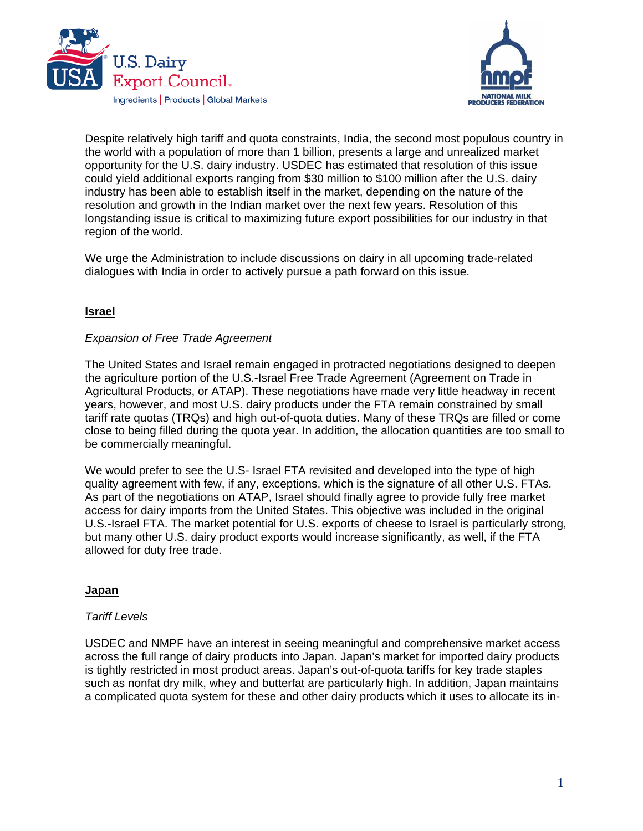



Despite relatively high tariff and quota constraints, India, the second most populous country in the world with a population of more than 1 billion, presents a large and unrealized market opportunity for the U.S. dairy industry. USDEC has estimated that resolution of this issue could yield additional exports ranging from \$30 million to \$100 million after the U.S. dairy industry has been able to establish itself in the market, depending on the nature of the resolution and growth in the Indian market over the next few years. Resolution of this longstanding issue is critical to maximizing future export possibilities for our industry in that region of the world.

We urge the Administration to include discussions on dairy in all upcoming trade-related dialogues with India in order to actively pursue a path forward on this issue.

### **Israel**

### *Expansion of Free Trade Agreement*

The United States and Israel remain engaged in protracted negotiations designed to deepen the agriculture portion of the U.S.-Israel Free Trade Agreement (Agreement on Trade in Agricultural Products, or ATAP). These negotiations have made very little headway in recent years, however, and most U.S. dairy products under the FTA remain constrained by small tariff rate quotas (TRQs) and high out-of-quota duties. Many of these TRQs are filled or come close to being filled during the quota year. In addition, the allocation quantities are too small to be commercially meaningful.

We would prefer to see the U.S- Israel FTA revisited and developed into the type of high quality agreement with few, if any, exceptions, which is the signature of all other U.S. FTAs. As part of the negotiations on ATAP, Israel should finally agree to provide fully free market access for dairy imports from the United States. This objective was included in the original U.S.-Israel FTA. The market potential for U.S. exports of cheese to Israel is particularly strong, but many other U.S. dairy product exports would increase significantly, as well, if the FTA allowed for duty free trade.

### **Japan**

#### *Tariff Levels*

USDEC and NMPF have an interest in seeing meaningful and comprehensive market access across the full range of dairy products into Japan. Japan's market for imported dairy products is tightly restricted in most product areas. Japan's out-of-quota tariffs for key trade staples such as nonfat dry milk, whey and butterfat are particularly high. In addition, Japan maintains a complicated quota system for these and other dairy products which it uses to allocate its in-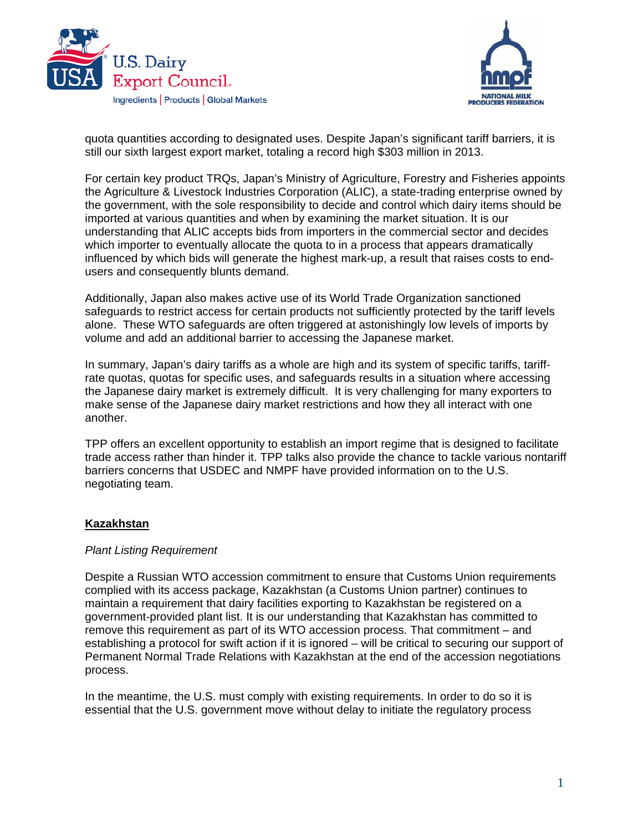



quota quantities according to designated uses. Despite Japan's significant tariff barriers, it is still our sixth largest export market, totaling a record high \$303 million in 2013.

For certain key product TRQs, Japan's Ministry of Agriculture, Forestry and Fisheries appoints the Agriculture & Livestock Industries Corporation (ALIC), a state-trading enterprise owned by the government, with the sole responsibility to decide and control which dairy items should be imported at various quantities and when by examining the market situation. It is our understanding that ALIC accepts bids from importers in the commercial sector and decides which importer to eventually allocate the quota to in a process that appears dramatically influenced by which bids will generate the highest mark-up, a result that raises costs to endusers and consequently blunts demand.

Additionally, Japan also makes active use of its World Trade Organization sanctioned safeguards to restrict access for certain products not sufficiently protected by the tariff levels alone. These WTO safeguards are often triggered at astonishingly low levels of imports by volume and add an additional barrier to accessing the Japanese market.

In summary, Japan's dairy tariffs as a whole are high and its system of specific tariffs, tariffrate quotas, quotas for specific uses, and safeguards results in a situation where accessing the Japanese dairy market is extremely difficult. It is very challenging for many exporters to make sense of the Japanese dairy market restrictions and how they all interact with one another.

TPP offers an excellent opportunity to establish an import regime that is designed to facilitate trade access rather than hinder it. TPP talks also provide the chance to tackle various nontariff barriers concerns that USDEC and NMPF have provided information on to the U.S. negotiating team.

### **Kazakhstan**

### *Plant Listing Requirement*

Despite a Russian WTO accession commitment to ensure that Customs Union requirements complied with its access package, Kazakhstan (a Customs Union partner) continues to maintain a requirement that dairy facilities exporting to Kazakhstan be registered on a government-provided plant list. It is our understanding that Kazakhstan has committed to remove this requirement as part of its WTO accession process. That commitment – and establishing a protocol for swift action if it is ignored – will be critical to securing our support of Permanent Normal Trade Relations with Kazakhstan at the end of the accession negotiations process.

In the meantime, the U.S. must comply with existing requirements. In order to do so it is essential that the U.S. government move without delay to initiate the regulatory process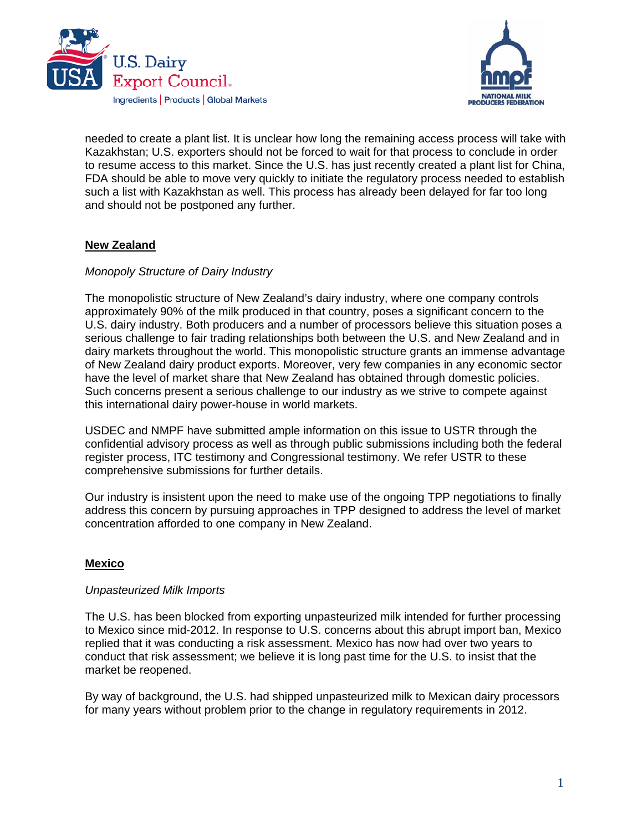



needed to create a plant list. It is unclear how long the remaining access process will take with Kazakhstan; U.S. exporters should not be forced to wait for that process to conclude in order to resume access to this market. Since the U.S. has just recently created a plant list for China, FDA should be able to move very quickly to initiate the regulatory process needed to establish such a list with Kazakhstan as well. This process has already been delayed for far too long and should not be postponed any further.

## **New Zealand**

### *Monopoly Structure of Dairy Industry*

The monopolistic structure of New Zealand's dairy industry, where one company controls approximately 90% of the milk produced in that country, poses a significant concern to the U.S. dairy industry. Both producers and a number of processors believe this situation poses a serious challenge to fair trading relationships both between the U.S. and New Zealand and in dairy markets throughout the world. This monopolistic structure grants an immense advantage of New Zealand dairy product exports. Moreover, very few companies in any economic sector have the level of market share that New Zealand has obtained through domestic policies. Such concerns present a serious challenge to our industry as we strive to compete against this international dairy power-house in world markets.

USDEC and NMPF have submitted ample information on this issue to USTR through the confidential advisory process as well as through public submissions including both the federal register process, ITC testimony and Congressional testimony. We refer USTR to these comprehensive submissions for further details.

Our industry is insistent upon the need to make use of the ongoing TPP negotiations to finally address this concern by pursuing approaches in TPP designed to address the level of market concentration afforded to one company in New Zealand.

### **Mexico**

### *Unpasteurized Milk Imports*

The U.S. has been blocked from exporting unpasteurized milk intended for further processing to Mexico since mid-2012. In response to U.S. concerns about this abrupt import ban, Mexico replied that it was conducting a risk assessment. Mexico has now had over two years to conduct that risk assessment; we believe it is long past time for the U.S. to insist that the market be reopened.

By way of background, the U.S. had shipped unpasteurized milk to Mexican dairy processors for many years without problem prior to the change in regulatory requirements in 2012.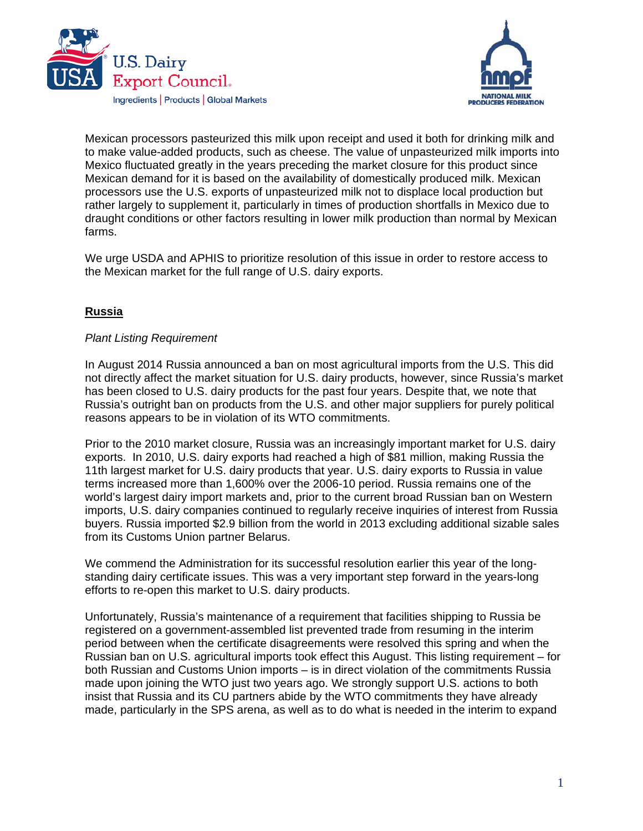



Mexican processors pasteurized this milk upon receipt and used it both for drinking milk and to make value-added products, such as cheese. The value of unpasteurized milk imports into Mexico fluctuated greatly in the years preceding the market closure for this product since Mexican demand for it is based on the availability of domestically produced milk. Mexican processors use the U.S. exports of unpasteurized milk not to displace local production but rather largely to supplement it, particularly in times of production shortfalls in Mexico due to draught conditions or other factors resulting in lower milk production than normal by Mexican farms.

We urge USDA and APHIS to prioritize resolution of this issue in order to restore access to the Mexican market for the full range of U.S. dairy exports.

# **Russia**

### *Plant Listing Requirement*

In August 2014 Russia announced a ban on most agricultural imports from the U.S. This did not directly affect the market situation for U.S. dairy products, however, since Russia's market has been closed to U.S. dairy products for the past four years. Despite that, we note that Russia's outright ban on products from the U.S. and other major suppliers for purely political reasons appears to be in violation of its WTO commitments.

Prior to the 2010 market closure, Russia was an increasingly important market for U.S. dairy exports. In 2010, U.S. dairy exports had reached a high of \$81 million, making Russia the 11th largest market for U.S. dairy products that year. U.S. dairy exports to Russia in value terms increased more than 1,600% over the 2006-10 period. Russia remains one of the world's largest dairy import markets and, prior to the current broad Russian ban on Western imports, U.S. dairy companies continued to regularly receive inquiries of interest from Russia buyers. Russia imported \$2.9 billion from the world in 2013 excluding additional sizable sales from its Customs Union partner Belarus.

We commend the Administration for its successful resolution earlier this year of the longstanding dairy certificate issues. This was a very important step forward in the years-long efforts to re-open this market to U.S. dairy products.

Unfortunately, Russia's maintenance of a requirement that facilities shipping to Russia be registered on a government-assembled list prevented trade from resuming in the interim period between when the certificate disagreements were resolved this spring and when the Russian ban on U.S. agricultural imports took effect this August. This listing requirement – for both Russian and Customs Union imports – is in direct violation of the commitments Russia made upon joining the WTO just two years ago. We strongly support U.S. actions to both insist that Russia and its CU partners abide by the WTO commitments they have already made, particularly in the SPS arena, as well as to do what is needed in the interim to expand